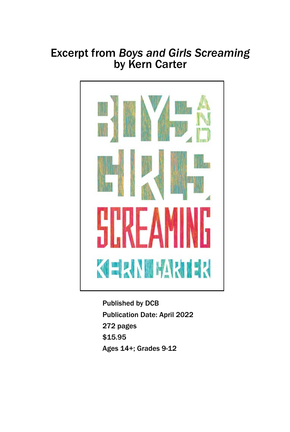## Excerpt from *Boys and Girls Screaming* by Kern Carter



Published by DCB Publication Date: April 2022 272 pages \$15.95 Ages 14+; Grades 9-12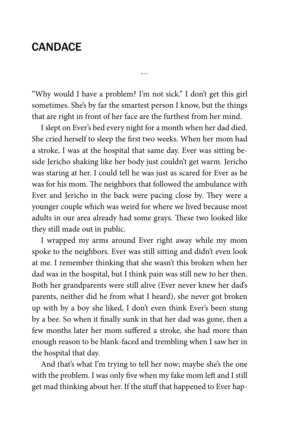## CANDACE

"Why would I have a problem? I'm not sick." I don't get this girl sometimes. She's by far the smartest person I know, but the things that are right in front of her face are the furthest from her mind.

…

I slept on Ever's bed every night for a month when her dad died. She cried herself to sleep the first two weeks. When her mom had a stroke, I was at the hospital that same day. Ever was sitting beside Jericho shaking like her body just couldn't get warm. Jericho was staring at her. I could tell he was just as scared for Ever as he was for his mom. The neighbors that followed the ambulance with Ever and Jericho in the back were pacing close by. They were a younger couple which was weird for where we lived because most adults in our area already had some grays. These two looked like they still made out in public.

I wrapped my arms around Ever right away while my mom spoke to the neighbors. Ever was still sitting and didn't even look at me. I remember thinking that she wasn't this broken when her dad was in the hospital, but I think pain was still new to her then. Both her grandparents were still alive (Ever never knew her dad's parents, neither did he from what I heard), she never got broken up with by a boy she liked, I don't even think Ever's been stung by a bee. So when it finally sunk in that her dad was gone, then a few months later her mom suffered a stroke, she had more than enough reason to be blank-faced and trembling when I saw her in the hospital that day.

And that's what I'm trying to tell her now; maybe she's the one with the problem. I was only five when my fake mom left and I still get mad thinking about her. If the stuff that happened to Ever hap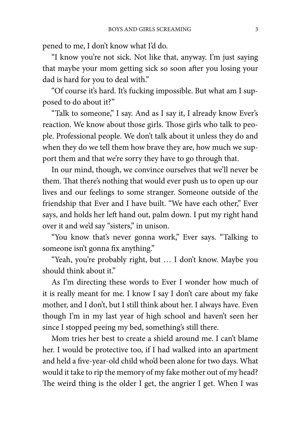pened to me, I don't know what I'd do.

"I know you're not sick. Not like that, anyway. I'm just saying that maybe your mom getting sick so soon after you losing your dad is hard for you to deal with."

"Of course it's hard. It's fucking impossible. But what am I supposed to do about it?"

"Talk to someone," I say. And as I say it, I already know Ever's reaction. We know about those girls. Those girls who talk to people. Professional people. We don't talk about it unless they do and when they do we tell them how brave they are, how much we support them and that we're sorry they have to go through that.

In our mind, though, we convince ourselves that we'll never be them. That there's nothing that would ever push us to open up our lives and our feelings to some stranger. Someone outside of the friendship that Ever and I have built. "We have each other," Ever says, and holds her left hand out, palm down. I put my right hand over it and we'd say "sisters," in unison.

"You know that's never gonna work," Ever says. "Talking to someone isn't gonna fix anything."

"Yeah, you're probably right, but … I don't know. Maybe you should think about it."

As I'm directing these words to Ever I wonder how much of it is really meant for me. I know I say I don't care about my fake mother, and I don't, but I still think about her. I always have. Even though I'm in my last year of high school and haven't seen her since I stopped peeing my bed, something's still there.

Mom tries her best to create a shield around me. I can't blame her. I would be protective too, if I had walked into an apartment and held a five-year-old child who'd been alone for two days. What would it take to rip the memory of my fake mother out of my head? The weird thing is the older I get, the angrier I get. When I was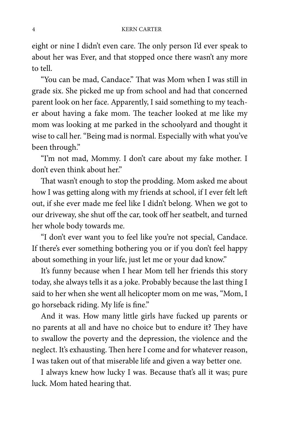eight or nine I didn't even care. The only person I'd ever speak to about her was Ever, and that stopped once there wasn't any more to tell.

"You can be mad, Candace." That was Mom when I was still in grade six. She picked me up from school and had that concerned parent look on her face. Apparently, I said something to my teacher about having a fake mom. The teacher looked at me like my mom was looking at me parked in the schoolyard and thought it wise to call her. "Being mad is normal. Especially with what you've been through."

"I'm not mad, Mommy. I don't care about my fake mother. I don't even think about her"

That wasn't enough to stop the prodding. Mom asked me about how I was getting along with my friends at school, if I ever felt left out, if she ever made me feel like I didn't belong. When we got to our driveway, she shut off the car, took off her seatbelt, and turned her whole body towards me.

"I don't ever want you to feel like you're not special, Candace. If there's ever something bothering you or if you don't feel happy about something in your life, just let me or your dad know."

It's funny because when I hear Mom tell her friends this story today, she always tells it as a joke. Probably because the last thing I said to her when she went all helicopter mom on me was, "Mom, I go horseback riding. My life is fine."

And it was. How many little girls have fucked up parents or no parents at all and have no choice but to endure it? They have to swallow the poverty and the depression, the violence and the neglect. It's exhausting. Then here I come and for whatever reason, I was taken out of that miserable life and given a way better one.

I always knew how lucky I was. Because that's all it was; pure luck. Mom hated hearing that.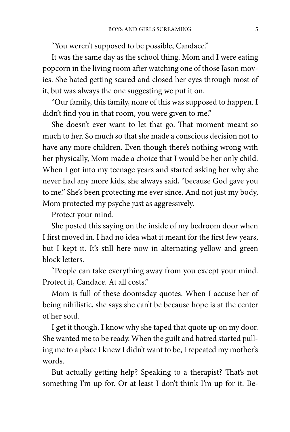"You weren't supposed to be possible, Candace."

It was the same day as the school thing. Mom and I were eating popcorn in the living room after watching one of those Jason movies. She hated getting scared and closed her eyes through most of it, but was always the one suggesting we put it on.

"Our family, this family, none of this was supposed to happen. I didn't find you in that room, you were given to me."

She doesn't ever want to let that go. That moment meant so much to her. So much so that she made a conscious decision not to have any more children. Even though there's nothing wrong with her physically, Mom made a choice that I would be her only child. When I got into my teenage years and started asking her why she never had any more kids, she always said, "because God gave you to me." She's been protecting me ever since. And not just my body, Mom protected my psyche just as aggressively.

Protect your mind.

She posted this saying on the inside of my bedroom door when I first moved in. I had no idea what it meant for the first few years, but I kept it. It's still here now in alternating yellow and green block letters.

"People can take everything away from you except your mind. Protect it, Candace. At all costs."

Mom is full of these doomsday quotes. When I accuse her of being nihilistic, she says she can't be because hope is at the center of her soul.

I get it though. I know why she taped that quote up on my door. She wanted me to be ready. When the guilt and hatred started pulling me to a place I knew I didn't want to be, I repeated my mother's words.

But actually getting help? Speaking to a therapist? That's not something I'm up for. Or at least I don't think I'm up for it. Be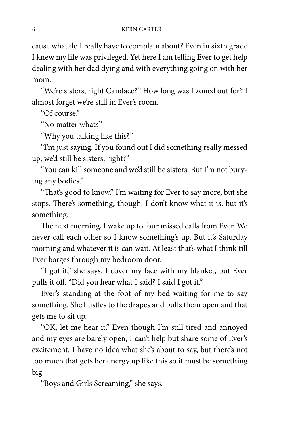cause what do I really have to complain about? Even in sixth grade I knew my life was privileged. Yet here I am telling Ever to get help dealing with her dad dying and with everything going on with her mom.

"We're sisters, right Candace?" How long was I zoned out for? I almost forget we're still in Ever's room.

"Of course."

"No matter what?"

"Why you talking like this?"

"I'm just saying. If you found out I did something really messed up, we'd still be sisters, right?"

"You can kill someone and we'd still be sisters. But I'm not burying any bodies."

"That's good to know." I'm waiting for Ever to say more, but she stops. There's something, though. I don't know what it is, but it's something.

The next morning, I wake up to four missed calls from Ever. We never call each other so I know something's up. But it's Saturday morning and whatever it is can wait. At least that's what I think till Ever barges through my bedroom door.

"I got it," she says. I cover my face with my blanket, but Ever pulls it off. "Did you hear what I said? I said I got it."

Ever's standing at the foot of my bed waiting for me to say something. She hustles to the drapes and pulls them open and that gets me to sit up.

"OK, let me hear it." Even though I'm still tired and annoyed and my eyes are barely open, I can't help but share some of Ever's excitement. I have no idea what she's about to say, but there's not too much that gets her energy up like this so it must be something big.

"Boys and Girls Screaming," she says.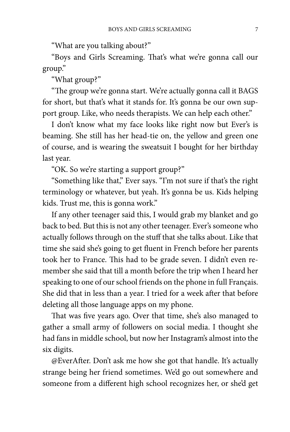"What are you talking about?"

"Boys and Girls Screaming. That's what we're gonna call our group."

"What group?"

"The group we're gonna start. We're actually gonna call it BAGS for short, but that's what it stands for. It's gonna be our own support group. Like, who needs therapists. We can help each other."

I don't know what my face looks like right now but Ever's is beaming. She still has her head-tie on, the yellow and green one of course, and is wearing the sweatsuit I bought for her birthday last year.

"OK. So we're starting a support group?"

"Something like that," Ever says. "I'm not sure if that's the right terminology or whatever, but yeah. It's gonna be us. Kids helping kids. Trust me, this is gonna work."

If any other teenager said this, I would grab my blanket and go back to bed. But this is not any other teenager. Ever's someone who actually follows through on the stuff that she talks about. Like that time she said she's going to get fluent in French before her parents took her to France. This had to be grade seven. I didn't even remember she said that till a month before the trip when I heard her speaking to one of our school friends on the phone in full Français. She did that in less than a year. I tried for a week after that before deleting all those language apps on my phone.

That was five years ago. Over that time, she's also managed to gather a small army of followers on social media. I thought she had fans in middle school, but now her Instagram's almost into the six digits.

@EverAfter. Don't ask me how she got that handle. It's actually strange being her friend sometimes. We'd go out somewhere and someone from a different high school recognizes her, or she'd get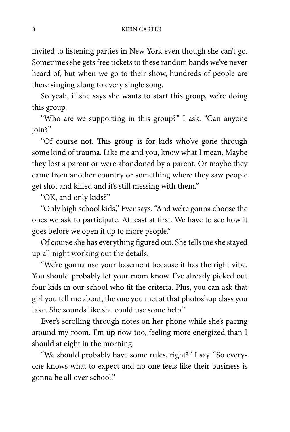invited to listening parties in New York even though she can't go. Sometimes she gets free tickets to these random bands we've never heard of, but when we go to their show, hundreds of people are there singing along to every single song.

So yeah, if she says she wants to start this group, we're doing this group.

"Who are we supporting in this group?" I ask. "Can anyone join?"

"Of course not. This group is for kids who've gone through some kind of trauma. Like me and you, know what I mean. Maybe they lost a parent or were abandoned by a parent. Or maybe they came from another country or something where they saw people get shot and killed and it's still messing with them."

"OK, and only kids?"

"Only high school kids," Ever says. "And we're gonna choose the ones we ask to participate. At least at first. We have to see how it goes before we open it up to more people."

Of course she has everything figured out. She tells me she stayed up all night working out the details.

"We're gonna use your basement because it has the right vibe. You should probably let your mom know. I've already picked out four kids in our school who fit the criteria. Plus, you can ask that girl you tell me about, the one you met at that photoshop class you take. She sounds like she could use some help."

Ever's scrolling through notes on her phone while she's pacing around my room. I'm up now too, feeling more energized than I should at eight in the morning.

"We should probably have some rules, right?" I say. "So everyone knows what to expect and no one feels like their business is gonna be all over school."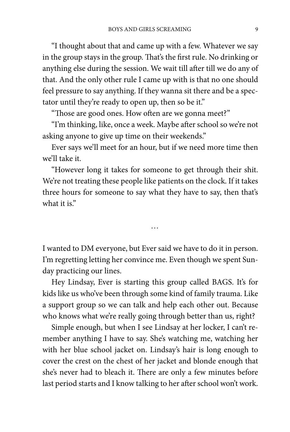"I thought about that and came up with a few. Whatever we say in the group stays in the group. That's the first rule. No drinking or anything else during the session. We wait till after till we do any of that. And the only other rule I came up with is that no one should feel pressure to say anything. If they wanna sit there and be a spectator until they're ready to open up, then so be it."

"Those are good ones. How often are we gonna meet?"

"I'm thinking, like, once a week. Maybe after school so we're not asking anyone to give up time on their weekends."

Ever says we'll meet for an hour, but if we need more time then we'll take it.

"However long it takes for someone to get through their shit. We're not treating these people like patients on the clock. If it takes three hours for someone to say what they have to say, then that's what it is"

…

I wanted to DM everyone, but Ever said we have to do it in person. I'm regretting letting her convince me. Even though we spent Sunday practicing our lines.

Hey Lindsay, Ever is starting this group called BAGS. It's for kids like us who've been through some kind of family trauma. Like a support group so we can talk and help each other out. Because who knows what we're really going through better than us, right?

Simple enough, but when I see Lindsay at her locker, I can't remember anything I have to say. She's watching me, watching her with her blue school jacket on. Lindsay's hair is long enough to cover the crest on the chest of her jacket and blonde enough that she's never had to bleach it. There are only a few minutes before last period starts and I know talking to her after school won't work.